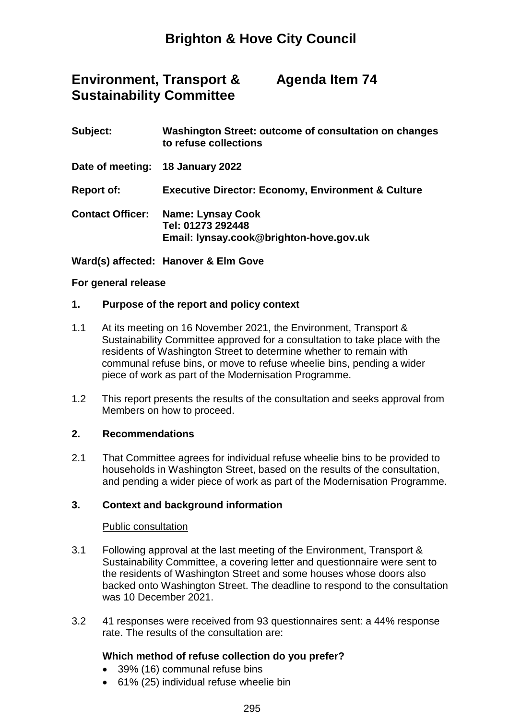#### **Environment, Transport & Sustainability Committee Agenda Item 74**

# **Subject: Washington Street: outcome of consultation on changes**

| <b>SUDIECL:</b>         | washington Street: outcome or consultation on changes<br>to refuse collections           |
|-------------------------|------------------------------------------------------------------------------------------|
|                         | Date of meeting: 18 January 2022                                                         |
| <b>Report of:</b>       | <b>Executive Director: Economy, Environment &amp; Culture</b>                            |
| <b>Contact Officer:</b> | <b>Name: Lynsay Cook</b><br>Tel: 01273 292448<br>Email: lynsay.cook@brighton-hove.gov.uk |

**Ward(s) affected: Hanover & Elm Gove**

## **For general release**

## **1. Purpose of the report and policy context**

- 1.1 At its meeting on 16 November 2021, the Environment, Transport & Sustainability Committee approved for a consultation to take place with the residents of Washington Street to determine whether to remain with communal refuse bins, or move to refuse wheelie bins, pending a wider piece of work as part of the Modernisation Programme.
- 1.2 This report presents the results of the consultation and seeks approval from Members on how to proceed.

## **2. Recommendations**

2.1 That Committee agrees for individual refuse wheelie bins to be provided to households in Washington Street, based on the results of the consultation, and pending a wider piece of work as part of the Modernisation Programme.

## **3. Context and background information**

#### Public consultation

- 3.1 Following approval at the last meeting of the Environment, Transport & Sustainability Committee, a covering letter and questionnaire were sent to the residents of Washington Street and some houses whose doors also backed onto Washington Street. The deadline to respond to the consultation was 10 December 2021.
- 3.2 41 responses were received from 93 questionnaires sent: a 44% response rate. The results of the consultation are:

## **Which method of refuse collection do you prefer?**

- 39% (16) communal refuse bins
- 61% (25) individual refuse wheelie bin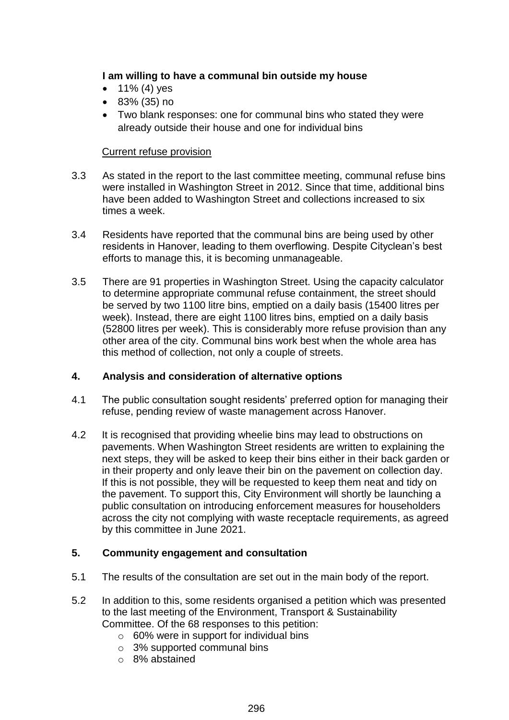## **I am willing to have a communal bin outside my house**

- $\bullet$  11% (4) yes
- 83% (35) no
- Two blank responses: one for communal bins who stated they were already outside their house and one for individual bins

## Current refuse provision

- 3.3 As stated in the report to the last committee meeting, communal refuse bins were installed in Washington Street in 2012. Since that time, additional bins have been added to Washington Street and collections increased to six times a week.
- 3.4 Residents have reported that the communal bins are being used by other residents in Hanover, leading to them overflowing. Despite Cityclean's best efforts to manage this, it is becoming unmanageable.
- 3.5 There are 91 properties in Washington Street. Using the capacity calculator to determine appropriate communal refuse containment, the street should be served by two 1100 litre bins, emptied on a daily basis (15400 litres per week). Instead, there are eight 1100 litres bins, emptied on a daily basis (52800 litres per week). This is considerably more refuse provision than any other area of the city. Communal bins work best when the whole area has this method of collection, not only a couple of streets.

## **4. Analysis and consideration of alternative options**

- 4.1 The public consultation sought residents' preferred option for managing their refuse, pending review of waste management across Hanover.
- 4.2 It is recognised that providing wheelie bins may lead to obstructions on pavements. When Washington Street residents are written to explaining the next steps, they will be asked to keep their bins either in their back garden or in their property and only leave their bin on the pavement on collection day. If this is not possible, they will be requested to keep them neat and tidy on the pavement. To support this, City Environment will shortly be launching a public consultation on introducing enforcement measures for householders across the city not complying with waste receptacle requirements, as agreed by this committee in June 2021.

## **5. Community engagement and consultation**

- 5.1 The results of the consultation are set out in the main body of the report.
- 5.2 In addition to this, some residents organised a petition which was presented to the last meeting of the Environment, Transport & Sustainability Committee. Of the 68 responses to this petition:
	- $\circ$  60% were in support for individual bins
	- o 3% supported communal bins
	- o 8% abstained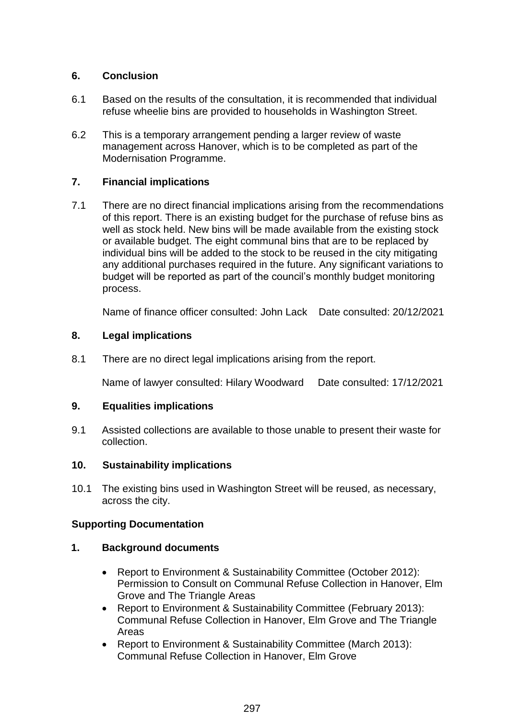## **6. Conclusion**

- 6.1 Based on the results of the consultation, it is recommended that individual refuse wheelie bins are provided to households in Washington Street.
- 6.2 This is a temporary arrangement pending a larger review of waste management across Hanover, which is to be completed as part of the Modernisation Programme.

## **7. Financial implications**

7.1 There are no direct financial implications arising from the recommendations of this report. There is an existing budget for the purchase of refuse bins as well as stock held. New bins will be made available from the existing stock or available budget. The eight communal bins that are to be replaced by individual bins will be added to the stock to be reused in the city mitigating any additional purchases required in the future. Any significant variations to budget will be reported as part of the council's monthly budget monitoring process.

Name of finance officer consulted: John Lack Date consulted: 20/12/2021

## **8. Legal implications**

8.1 There are no direct legal implications arising from the report.

Name of lawyer consulted: Hilary Woodward Date consulted: 17/12/2021

## **9. Equalities implications**

9.1 Assisted collections are available to those unable to present their waste for collection.

## **10. Sustainability implications**

10.1 The existing bins used in Washington Street will be reused, as necessary, across the city.

## **Supporting Documentation**

## **1. Background documents**

- Report to Environment & Sustainability Committee (October 2012): Permission to Consult on Communal Refuse Collection in Hanover, Elm Grove and The Triangle Areas
- Report to Environment & Sustainability Committee (February 2013): Communal Refuse Collection in Hanover, Elm Grove and The Triangle Areas
- Report to Environment & Sustainability Committee (March 2013): Communal Refuse Collection in Hanover, Elm Grove